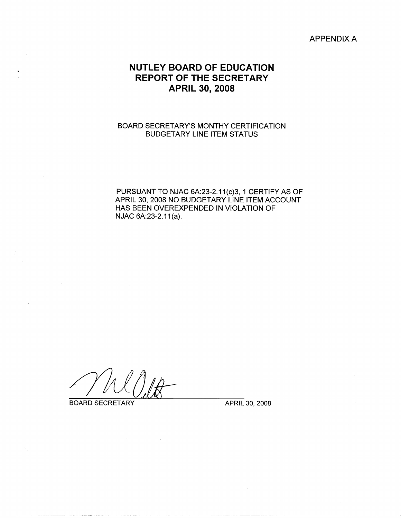APPENDIX A

# **NUTLEY BOARD OF EDUCATION REPORT OF THE SECRETARY APRIL 30, 2008**

# BOARD SECRETARY'S MONTHY CERTIFICATION BUDGETARY LINE ITEM STATUS

PURSUANT TO NJAC 6A:23-2.11(c)3, 1 CERTIFY AS OF APRIL 30, 2008 NO BUDGETARY LINE ITEM ACCOUNT HAS BEEN OVEREXPENDED IN VIOLATION OF NJAC 6A:23-2.11(a).

BOARD SECRETARY APRIL 30, 2008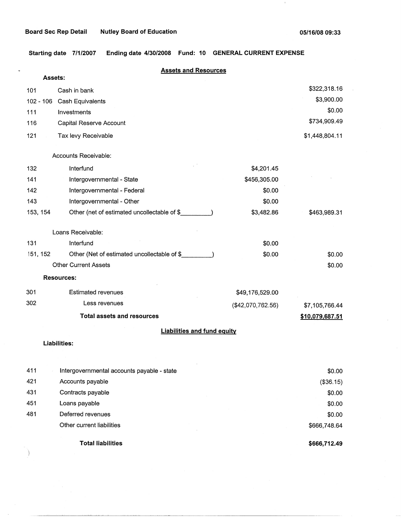L.

 $\big)$ 

 $\bar{1}$ 

**Starting date 7/1/2007 Ending date 4/30/2008 Fund: 10 GENERAL CURRENT EXPENSE** 

| <b>Assets:</b> | <b>Assets and Resources</b>                 |                   |                 |
|----------------|---------------------------------------------|-------------------|-----------------|
| 101            | Cash in bank                                |                   | \$322,318.16    |
| $102 - 106$    | Cash Equivalents                            |                   | \$3,900.00      |
| 111            | Investments                                 |                   | \$0.00          |
| 116            | Capital Reserve Account                     |                   | \$734,909.49    |
| 121            | Tax levy Receivable                         |                   | \$1,448,804.11  |
|                | Accounts Receivable:                        |                   |                 |
| 132            | Interfund                                   | \$4,201.45        |                 |
| 141            | Intergovernmental - State                   | \$456,305.00      |                 |
| 142            | Intergovernmental - Federal                 | \$0.00            |                 |
| 143            | Intergovernmental - Other                   | \$0.00            |                 |
| 153, 154       | Other (net of estimated uncollectable of \$ | \$3,482.86        | \$463,989.31    |
|                | Loans Receivable:                           |                   |                 |
| 131            | Interfund                                   | \$0.00            |                 |
| 151, 152       | Other (Net of estimated uncollectable of \$ | \$0.00            | \$0.00          |
|                | <b>Other Current Assets</b>                 |                   | \$0.00          |
|                | <b>Resources:</b>                           |                   |                 |
| 301            | <b>Estimated revenues</b>                   | \$49,176,529.00   |                 |
| 302            | Less revenues                               | (\$42,070,762.56) | \$7,105,766.44  |
|                | <b>Total assets and resources</b>           |                   | \$10,079,687.51 |
|                | <b>Liabilities and fund equity</b>          |                   |                 |
|                | <b>Liabilities:</b>                         |                   |                 |
| 411            | Intergovernmental accounts payable - state  |                   | \$0.00          |
| 421            | Accounts payable                            |                   | (\$36.15)       |
| 431            | Contracts payable                           |                   | \$0.00          |
| 451            | Loans payable                               |                   | \$0.00          |
| 481            | Deferred revenues                           |                   | \$0.00          |
|                | Other current liabilities                   |                   | \$666,748.64    |
|                | <b>Total liabilities</b>                    |                   | \$666,712.49    |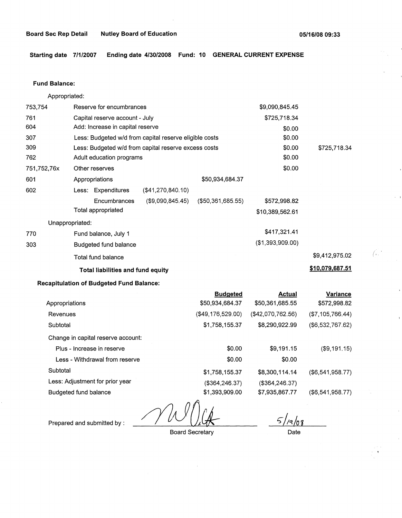$\left(\frac{1}{2}\right)^{n}$ 

**Starting date 7/1/2007 Ending date 4/30/2008 Fund: 10 GENERAL CURRENT EXPENSE** 

## **Fund Balance:**

Appropriated:

| 753,754         |                      | Reserve for encumbrances          |                                                        |                      | \$9,090,845.45   |                 |  |
|-----------------|----------------------|-----------------------------------|--------------------------------------------------------|----------------------|------------------|-----------------|--|
| 761             |                      | Capital reserve account - July    |                                                        |                      | \$725,718.34     |                 |  |
| 604             |                      | Add: Increase in capital reserve  |                                                        |                      | \$0.00           |                 |  |
| 307             |                      |                                   | Less: Budgeted w/d from capital reserve eligible costs |                      | \$0.00           |                 |  |
| 309             |                      |                                   | Less: Budgeted w/d from capital reserve excess costs   |                      | \$0.00           | \$725,718.34    |  |
| 762             |                      | Adult education programs          |                                                        |                      | \$0.00           |                 |  |
| 751,752,76x     | Other reserves       |                                   |                                                        |                      | \$0.00           |                 |  |
| 601             | Appropriations       |                                   |                                                        | \$50,934,684.37      |                  |                 |  |
| 602             | Less: Expenditures   |                                   | (\$41,270,840.10)                                      |                      |                  |                 |  |
|                 |                      | Encumbrances                      | (\$9,090,845.45)                                       | $($ \$50,361,685.55) | \$572,998.82     |                 |  |
|                 | Total appropriated   |                                   |                                                        |                      | \$10,389,562.61  |                 |  |
| Unappropriated: |                      |                                   |                                                        |                      |                  |                 |  |
| 770             | Fund balance, July 1 |                                   |                                                        |                      | \$417,321.41     |                 |  |
| 303             |                      | Budgeted fund balance             |                                                        |                      | (\$1,393,909.00) |                 |  |
|                 | Total fund balance   |                                   |                                                        |                      |                  | \$9,412,975.02  |  |
|                 |                      | Total liabilities and fund equity |                                                        |                      |                  | \$10,079,687.51 |  |

# **Recapitulation of Budgeted Fund Balance:**

| <b>Budgeted</b>   | Actual            | <b>Variance</b>  |
|-------------------|-------------------|------------------|
| \$50,934,684.37   | \$50,361,685.55   | \$572,998.82     |
| (\$49,176,529.00) | (\$42,070,762.56) | (\$7,105,766.44) |
| \$1,758,155.37    | \$8,290,922.99    | (\$6,532,767.62) |
|                   |                   |                  |
| \$0.00            | \$9,191.15        | (\$9,191.15)     |
| \$0.00            | \$0.00            |                  |
| \$1,758,155.37    | \$8,300,114.14    | (\$6,541,958.77) |
| (\$364, 246.37)   | (\$364,246.37)    |                  |
| \$1,393,909.00    | \$7,935,867.77    | (\$6,541,958.77) |
|                   |                   |                  |

Board Secretary

 $5/$  $/9/08$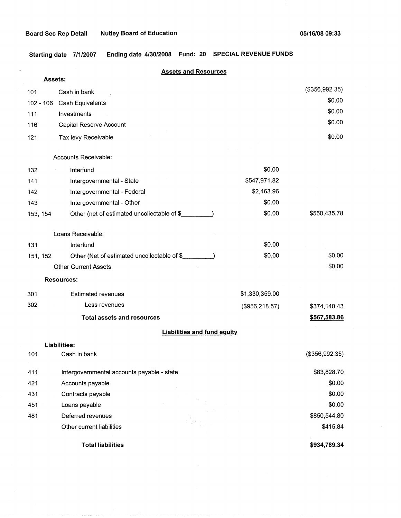k,

 $\mathbf{1}$ 

**Starting date 7/1/2007 Ending date 4/30/2008 Fund: 20 SPECIAL REVENUE FUNDS** 

| Assets:     | <b>Assets and Resources</b>                  |                 |                  |
|-------------|----------------------------------------------|-----------------|------------------|
| 101         | Cash in bank                                 |                 | (\$356,992.35)   |
| $102 - 106$ | Cash Equivalents                             |                 | \$0.00           |
| 111         | Investments                                  |                 | \$0.00           |
| 116         | Capital Reserve Account                      |                 | \$0.00           |
| 121         | Tax levy Receivable                          |                 | \$0.00           |
|             | Accounts Receivable:                         |                 |                  |
| 132         | Interfund                                    | \$0.00          |                  |
| 141         | Intergovernmental - State                    | \$547,971.82    |                  |
| 142         | Intergovernmental - Federal                  | \$2,463.96      |                  |
| 143         | Intergovernmental - Other                    | \$0.00          |                  |
| 153, 154    | Other (net of estimated uncollectable of \$_ | \$0.00          | \$550,435.78     |
|             | Loans Receivable:                            |                 |                  |
| 131         | Interfund                                    | \$0.00          |                  |
| 151, 152    | Other (Net of estimated uncollectable of \$  | \$0.00          | \$0.00           |
|             | <b>Other Current Assets</b>                  |                 | \$0.00           |
|             | <b>Resources:</b>                            |                 |                  |
| 301         | <b>Estimated revenues</b>                    | \$1,330,359.00  |                  |
| 302         | Less revenues                                | (\$956, 218.57) | \$374,140.43     |
|             | <b>Total assets and resources</b>            |                 | \$567,583.86     |
|             | <b>Liabilities and fund equity</b>           |                 |                  |
|             | <b>Liabilities:</b>                          |                 |                  |
| 101         | Cash in bank                                 |                 | $(\$356,992.35)$ |
| 411         | Intergovernmental accounts payable - state   |                 | \$83,828.70      |
| 421         | Accounts payable                             |                 | \$0.00           |
| 431         | Contracts payable                            |                 | \$0.00           |
| 451         | Loans payable                                |                 | \$0.00           |
| 481         | Deferred revenues                            |                 | \$850,544.80     |
|             | Other current liabilities                    |                 | \$415.84         |
|             | <b>Total liabilities</b>                     |                 | \$934,789.34     |

 $\sim$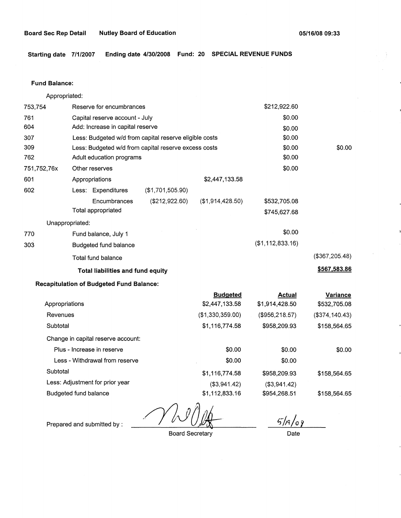**Starting date 7/1/2007 Ending date 4/30/2008 Fund: 20 SPECIAL REVENUE FUNDS** 

#### **Fund Balance:**

753,754 761 604 Appropriated: Reserve for encumbrances Capital reserve account - July Add: Increase in capital reserve 307 309 762 751,752,76x 601 Less: Budgeted w/d from capital reserve eligible costs Less: Budgeted w/d from capital reserve excess costs Adult education programs 602 Other reserves Appropriations Less: Expenditures **Encumbrances** Total appropriated Unappropriated: 770 Fund balance, July 1 303 Budgeted fund balance Total fund balance (\$1,701,505.90) (\$212,922.60) **Total liabilities and fund equity**  \$2,447, 133.58 (\$1,914,428.50) \$212,922.60 \$0.00 \$0.00 \$0.00 \$0.00 \$0.00 \$0.00 \$532,705.08 \$745,627.68 \$0.00 (\$1,112,833.16) \$0.00 (\$367,205.48) **\$567,583.86** 

## **Recapitulation of Budgeted Fund Balance:**

|                                    | <b>Budgeted</b>  | <b>Actual</b>  | <b>Variance</b> |
|------------------------------------|------------------|----------------|-----------------|
| Appropriations                     | \$2,447,133.58   | \$1,914,428.50 | \$532,705.08    |
| Revenues                           | (\$1,330,359.00) | (\$956,218.57) | (\$374,140.43)  |
| Subtotal                           | \$1,116,774.58   | \$958,209.93   | \$158,564.65    |
| Change in capital reserve account: |                  |                |                 |
| Plus - Increase in reserve         | \$0.00           | \$0.00         | \$0.00          |
| Less - Withdrawal from reserve     | \$0.00           | \$0.00         |                 |
| Subtotal                           | \$1,116,774.58   | \$958,209.93   | \$158,564.65    |
| Less: Adjustment for prior year    | (\$3,941.42)     | ( \$3, 941.42) |                 |
| Budgeted fund balance              | \$1,112,833.16   | \$954,268.51   | \$158.564.65    |

Prepared and submitted by :

Board Secretary

 $5/19/09$ 

Date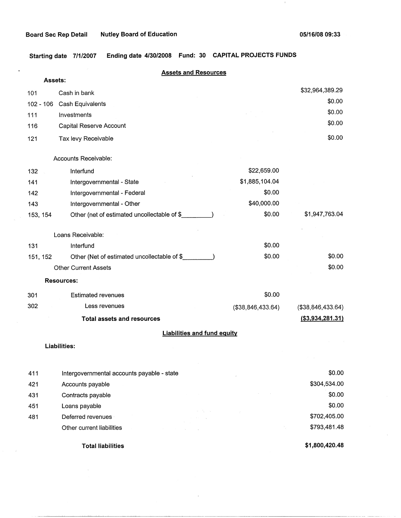$\ddot{\phantom{0}}$ 

 $\mathbf{1}$ 

**Starting date 7/1/2007 Ending date 4/30/2008 Fund: 30 CAPITAL PROJECTS FUNDS** 

|     | Assets:   |                                             | <b>Assets and Resources</b>        |                   |                   |
|-----|-----------|---------------------------------------------|------------------------------------|-------------------|-------------------|
|     |           |                                             |                                    |                   | \$32,964,389.29   |
| 101 |           | Cash in bank                                |                                    |                   | \$0.00            |
|     | 102 - 106 | Cash Equivalents                            |                                    |                   | \$0.00            |
| 111 |           | Investments                                 |                                    |                   | \$0.00            |
| 116 |           | Capital Reserve Account                     |                                    |                   |                   |
| 121 |           | Tax levy Receivable                         |                                    |                   | \$0.00            |
|     |           | Accounts Receivable:                        |                                    |                   |                   |
| 132 |           | Interfund                                   |                                    | \$22,659.00       |                   |
| 141 |           | Intergovernmental - State                   |                                    | \$1,885,104.04    |                   |
| 142 |           | Intergovernmental - Federal                 |                                    | \$0.00            |                   |
| 143 |           | Intergovernmental - Other                   |                                    | \$40,000.00       |                   |
|     | 153, 154  | Other (net of estimated uncollectable of \$ |                                    | \$0.00            | \$1,947,763.04    |
|     |           | Loans Receivable:                           |                                    |                   |                   |
| 131 |           | Interfund                                   |                                    | \$0.00            |                   |
|     | 151, 152  | Other (Net of estimated uncollectable of \$ |                                    | \$0.00            | \$0.00            |
|     |           | <b>Other Current Assets</b>                 |                                    |                   | \$0.00            |
|     |           | <b>Resources:</b>                           |                                    |                   |                   |
| 301 |           | <b>Estimated revenues</b>                   |                                    | \$0.00            |                   |
| 302 |           | Less revenues                               |                                    | (\$38,846,433.64) | (\$38,846,433.64) |
|     |           | <b>Total assets and resources</b>           |                                    |                   | ( \$3,934,281.31) |
|     |           |                                             | <b>Liabilities and fund equity</b> |                   |                   |
|     |           | <b>Liabilities:</b>                         |                                    |                   |                   |
|     |           |                                             |                                    |                   |                   |
| 411 |           | Intergovernmental accounts payable - state  |                                    |                   | \$0.00            |
| 421 |           | Accounts payable                            |                                    |                   | \$304,534.00      |
| 431 |           | Contracts payable                           |                                    |                   | \$0.00            |
| 451 |           | Loans payable                               |                                    |                   | \$0.00            |
| 481 |           | Deferred revenues                           |                                    |                   | \$702,405.00      |
|     |           | Other current liabilities                   |                                    |                   | \$793,481.48      |

**Total liabilities** 

**\$1,800,420.48**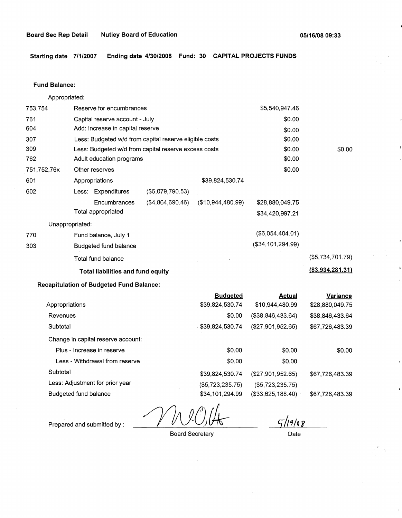**Starting date 7/1/2007 Ending date 4/30/2008 Fund: 30 CAPITAL PROJECTS FUNDS** 

## **Fund Balance:**

Appropriated: 753,754 Reserve for encumbrances Capital reserve account - July Add: Increase in capital reserve 761 604 307 309 762 751,752, 76x 601 Less: Budgeted w/d from capital reserve eligible costs Less: Budgeted w/d from capital reserve excess costs Adult education programs Other reserves Appropriations \$39,824,530.74 602 (\$6,079,790.53) Less: Expenditures 770 303 **Encumbrances** Total appropriated Unappropriated: Fund balance, July 1 Budgeted fund balance Total fund balance (\$4,864,690.46) (\$10,944,480.99) **Total liabilities and fund equity Recapitulation of Budgeted Fund Balance:**  \$5,540,947.46 \$0.00 \$0.00 \$0.00 \$0.00 \$0.00 \$0.00 \$28,880,049.75 \$34,420,997.21 (\$6,054,404.01) (\$34,101,294.99) \$0.00 (\$5,734,701.79) **(\$3,934,281.31)** 

|                                    | <b>Budgeted</b>  | <b>Actual</b>        | Variance        |
|------------------------------------|------------------|----------------------|-----------------|
| Appropriations                     | \$39,824,530.74  | \$10,944,480.99      | \$28,880,049.75 |
| Revenues                           | \$0.00           | $($ \$38,846,433.64) | \$38,846,433.64 |
| Subtotal                           | \$39,824,530.74  | (\$27,901,952.65)    | \$67,726,483.39 |
| Change in capital reserve account: |                  |                      |                 |
| Plus - Increase in reserve         | \$0.00           | \$0.00               | \$0.00          |
| Less - Withdrawal from reserve     | \$0.00           | \$0.00               |                 |
| Subtotal                           | \$39,824,530.74  | $($ \$27,901,952.65) | \$67,726,483.39 |
| Less: Adjustment for prior year    | (\$5,723,235.75) | ( \$5,723,235.75)    |                 |
| Budgeted fund balance              | \$34,101.294.99  | (\$33,625,188.40)    | \$67,726,483.39 |
|                                    |                  |                      |                 |

Prepared and submitted by : *~lJJlJilk-*

Board Secretary

*5-fi'l[o Y* 

Date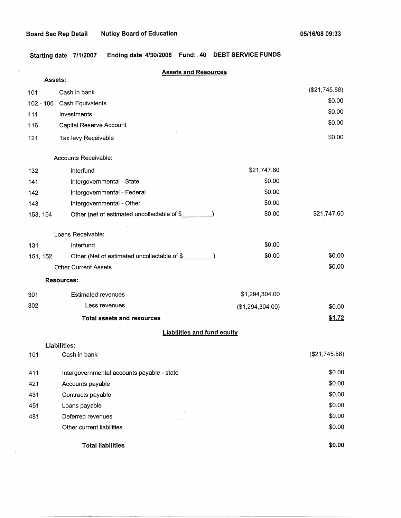Ĝ.

 $\hat{f}$ 

 $\mathcal{X}$ 

**Starting date 7/1/2007 Ending date 4/30/2008 Fund:. 40 DEBT SERVICE FUNDS** 

|             | <b>Assets and Resources</b>                 |                  |               |
|-------------|---------------------------------------------|------------------|---------------|
| Assets:     |                                             |                  | (\$21,745.88) |
| 101         | Cash in bank                                |                  | \$0.00        |
| $102 - 106$ | Cash Equivalents                            |                  | \$0.00        |
| 111         | Investments                                 |                  | \$0.00        |
| 116         | Capital Reserve Account                     |                  |               |
| 121         | Tax levy Receivable                         |                  | \$0.00        |
|             | Accounts Receivable:                        |                  |               |
| 132         | Interfund                                   | \$21,747.60      |               |
| 141         | Intergovernmental - State                   | \$0.00           |               |
| 142         | Intergovernmental - Federal                 | \$0.00           |               |
| 143         | Intergovernmental - Other                   | \$0.00           |               |
| 153, 154    | Other (net of estimated uncollectable of \$ | \$0.00           | \$21,747.60   |
|             | Loans Receivable:                           |                  |               |
| 131         | Interfund                                   | \$0.00           |               |
| 151, 152    | Other (Net of estimated uncollectable of \$ | \$0.00           | \$0.00        |
|             | <b>Other Current Assets</b>                 |                  | \$0.00        |
|             | <b>Resources:</b>                           |                  |               |
| 301         | <b>Estimated revenues</b>                   | \$1,294,304.00   |               |
| 302         | Less revenues                               | (\$1,294,304.00) | \$0.00        |
|             | <b>Total assets and resources</b>           |                  | \$1.72        |
|             | <b>Liabilities and fund equity</b>          |                  |               |
|             | Liabilities:                                |                  |               |
| 101         | Cash in bank                                |                  | (\$21,745.88) |
| 411         | Intergovernmental accounts payable - state  |                  | \$0.00        |
| 421         | Accounts payable                            |                  | \$0.00        |
| 431         | Contracts payable                           |                  | \$0.00        |
| 451         | Loans payable                               |                  | \$0.00        |
| 481         | Deferred revenues                           |                  | \$0.00        |
|             | Other current liabilities                   |                  | \$0.00        |
|             | <b>Total liabilities</b>                    |                  | \$0.00        |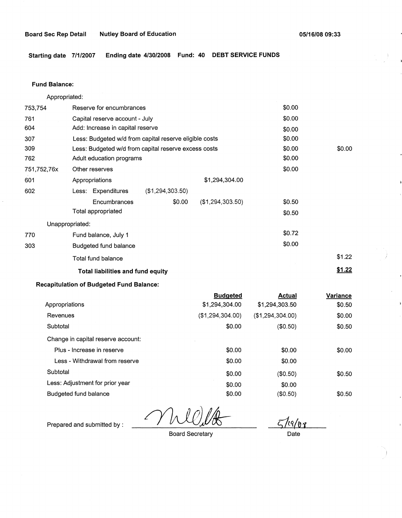**Starting date 7/1/2007 Ending date 4/30/2008 Fund: 40 DEBT SERVICE FUNDS** 

## **Fund Balance:**

753,754 761 604 Appropriated: Reserve for encumbrances Capital reserve account - July Add: Increase in capital reserve 307 309 762 751,752,76x 601 Less: Budgeted w/d from capital reserve eligible costs Less: Budgeted w/d from capital reserve excess costs Adult education programs 602 770 303 Other reserves Appropriations Less: Expenditures **Encumbrances** Total appropriated Unappropriated: Fund balance, July 1 Budgeted fund balance Total fund balance (\$1,294,303.50) \$0.00 \$1,294,304.00 (\$1,294,303.50) **Total liabilities and fund equity**  \$0.00 \$0.00 \$0.00 \$0.00 \$0.00 \$0.00 \$0.00 \$0.50 \$0.50 \$0.72 \$0.00 \$0.00 \$1.22 **\$1.22** 

# **Recapitulation of Budgeted Fund Balance:**

|                                    | <b>Budgeted</b>  | <b>Actual</b>       | Variance |
|------------------------------------|------------------|---------------------|----------|
| Appropriations                     | \$1,294,304.00   | \$1,294,303.50      | \$0.50   |
| Revenues                           | (\$1,294,304.00) | $($ \$1,294,304.00) | \$0.00   |
| Subtotal                           | \$0.00           | (\$0.50)            | \$0.50   |
| Change in capital reserve account: |                  |                     |          |
| Plus - Increase in reserve         | \$0.00           | \$0.00              | \$0.00   |
| Less - Withdrawal from reserve     | \$0.00           | \$0.00              |          |
| Subtotal                           | \$0.00           | (\$0.50)            | \$0.50   |
| Less: Adjustment for prior year    | \$0.00           | \$0.00              |          |
| Budgeted fund balance              | \$0.00           | (\$0.50)            | \$0.50   |
|                                    |                  |                     |          |

Board Secretary

s/.\_cq{J,\_ **1.** 

Date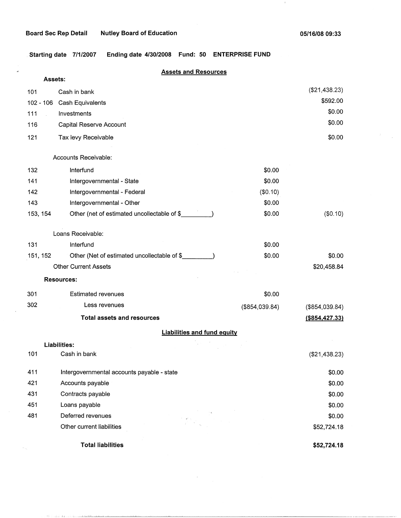na collectional concentration and

 $\mathbf{r}$ 

. **Starting date 7/1/2007 Ending date 4/30/2008 Fund: 50 ENTERPRISE FUND** 

|             | <b>Assets and Resources</b><br>Assets:      |                |                   |
|-------------|---------------------------------------------|----------------|-------------------|
| 101         | Cash in bank                                |                | (\$21,438.23)     |
| $102 - 106$ | <b>Cash Equivalents</b>                     |                | \$592.00          |
| 111         | Investments                                 |                | \$0.00            |
| 116         | Capital Reserve Account                     |                | \$0.00            |
| 121         | Tax levy Receivable                         |                | \$0.00            |
|             | Accounts Receivable:                        |                |                   |
| 132         | Interfund                                   | \$0.00         |                   |
| 141         | Intergovernmental - State                   | \$0.00         |                   |
| 142         | Intergovernmental - Federal                 | (\$0.10)       |                   |
| 143         | Intergovernmental - Other                   | \$0.00         |                   |
| 153, 154    | Other (net of estimated uncollectable of \$ | \$0.00         | (\$0.10)          |
|             | Loans Receivable:                           |                |                   |
| 131         | Interfund                                   | \$0.00         |                   |
| 151, 152    | Other (Net of estimated uncollectable of \$ | \$0.00         | \$0.00            |
|             | <b>Other Current Assets</b>                 |                | \$20,458.84       |
|             | <b>Resources:</b>                           |                |                   |
| 301         | <b>Estimated revenues</b>                   | \$0.00         |                   |
| 302         | Less revenues                               | (\$854,039.84) | (\$854,039.84)    |
|             | <b>Total assets and resources</b>           |                | $($ \$854,427.33) |
|             | <b>Liabilities and fund equity</b>          |                |                   |
|             | Liabilities:                                |                |                   |
| 101         | Cash in bank                                |                | (\$21,438.23)     |
| 411         | Intergovernmental accounts payable - state  |                | \$0.00            |
| 421         | Accounts payable                            |                | \$0.00            |
| 431         | Contracts payable                           |                | \$0.00            |
| 451         | Loans payable                               |                | \$0.00            |
| 481         | Deferred revenues                           |                | \$0.00            |
|             | Other current liabilities                   |                | \$52,724.18       |
|             | <b>Total liabilities</b>                    |                | \$52,724.18       |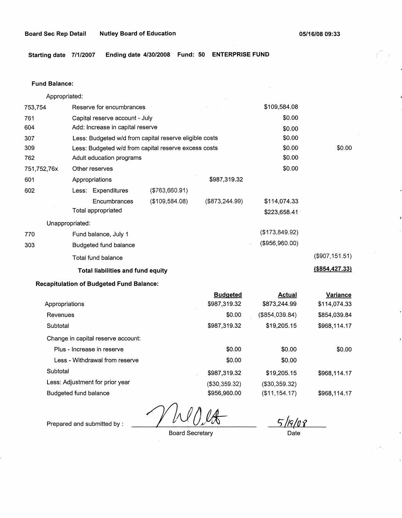\$0.00

(\$907,151.51) **(\$854,427.33)** 

**Starting date 7/1/2007 Ending date 4/30/2008 Fund: 50 ENTERPRISE FUND** 

#### **Fund Balance:**

753,754 761 604 Appropriated: Reserve for encumbrances Capital reserve account - July Add: Increase in capital reserve 307 309 762 751,752,76x 601 Less: Budgeted w/d from capital reserve eligible costs Less: Budgeted w/d from capital reserve excess costs Adult education programs 602 770 303 Other reserves Appropriations Less: Expenditures **Encumbrances** Total appropriated Unappropriated: Fund balance, July 1 Budgeted fund balance Total fund balance (\$763,660.91) (\$109,584.08) \$987,319.32 (\$873,244.99) **Total liabilities and fund equity**  \$109,584.08 \$0.00 \$0.00 \$0.00 \$0.00 \$0.00 \$0.00 \$114,074.33 \$223,658.41 (\$173,849.92) (\$956,960.00)

### **Recapitulation of Budgeted Fund Balance:**

|                                    | <b>Budgeted</b> | <b>Actual</b>  | Variance     |
|------------------------------------|-----------------|----------------|--------------|
| Appropriations                     | \$987,319.32    | \$873,244.99   | \$114,074.33 |
| Revenues                           | \$0.00          | (\$854,039.84) | \$854,039.84 |
| Subtotal                           | \$987,319.32    | \$19,205.15    | \$968,114.17 |
| Change in capital reserve account: |                 |                |              |
| Plus - Increase in reserve         | \$0.00          | \$0.00         | \$0.00       |
| Less - Withdrawal from reserve     | \$0.00          | \$0.00         |              |
| Subtotal                           | \$987,319.32    | \$19,205.15    | \$968,114.17 |
| Less: Adjustment for prior year    | (\$30,359.32)   | (\$30,359.32)  |              |
| Budgeted fund balance              | \$956,960.00    | (\$11,154.17)  | \$968,114.17 |

*fiJOJk* 

Board Secretary

*t, /li* /Jl\_ f\_ .<br>Date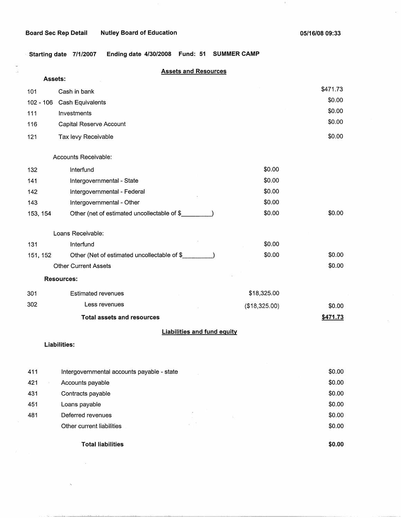$\mathcal{A}_1$ 

 $\sim$ 

 $\lambda$ 

Starting date 7/1/2007 Ending date 4/30/2008 Fund: 51 SUMMER CAMP

| Assets:     | <b>Assets and Resources</b>                  |               |          |
|-------------|----------------------------------------------|---------------|----------|
| 101         | Cash in bank                                 |               | \$471.73 |
| $102 - 106$ | Cash Equivalents                             |               | \$0.00   |
| 111         | Investments                                  |               | \$0.00   |
| 116         | Capital Reserve Account                      |               | \$0.00   |
| 121         | Tax levy Receivable                          |               | \$0.00   |
|             | <b>Accounts Receivable:</b>                  |               |          |
| 132         | Interfund                                    | \$0.00        |          |
| 141         | Intergovernmental - State                    | \$0.00        |          |
| 142         | Intergovernmental - Federal                  | \$0.00        |          |
| 143         | Intergovernmental - Other                    | \$0.00        |          |
| 153, 154    | Other (net of estimated uncollectable of \$_ | \$0.00        | \$0.00   |
|             | Loans Receivable:                            |               |          |
| 131         | Interfund                                    | \$0.00        |          |
| 151, 152    | Other (Net of estimated uncollectable of \$  | \$0.00        | \$0.00   |
|             | <b>Other Current Assets</b>                  |               | \$0.00   |
|             | <b>Resources:</b>                            |               |          |
| 301         | <b>Estimated revenues</b>                    | \$18,325.00   |          |
| 302         | Less revenues                                | (\$18,325.00) | \$0.00   |
|             | <b>Total assets and resources</b>            |               | \$471.73 |
|             | <b>Liabilities and fund equity</b>           |               |          |
|             | Liabilities:                                 |               |          |
|             |                                              |               |          |
| 411         | Intergovernmental accounts payable - state   |               | \$0.00   |
| 421         | Accounts payable                             |               | \$0.00   |
| 431         | Contracts payable                            |               | \$0.00   |
| 451         | Loans payable                                |               | \$0.00   |
| 481         | Deferred revenues                            |               | \$0.00   |
|             | Other current liabilities                    |               | \$0.00   |

**Total liabilities** 

 $\hat{\mathcal{A}}$ 

**\$0.00**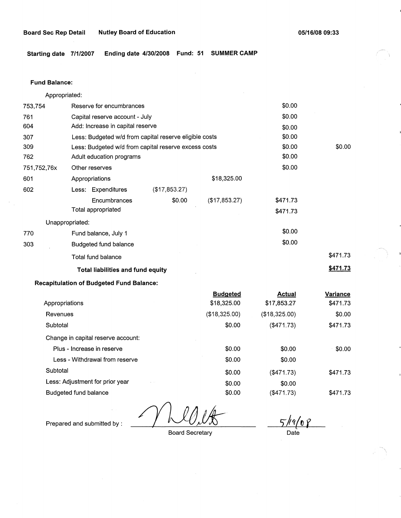**Starting date 7/1/2007 Ending date 4/30/2008 Fund: 51 SUMMER CAMP** 

#### **Fund Balance:**

753,754 761 604 Appropriated: Reserve for encumbrances Capital reserve account - July Add: Increase in capital reserve 307 309 762 751,752,76x 601 Less: Budgeted w/d from capital reserve eligible costs Less: Budgeted w/d from capital reserve excess costs Adult education programs 602 Other reserves Appropriations Less: Expenditures **Encumbrances** Total appropriated Unappropriated: 770 Fund balance, July 1 303 Budgeted fund balance Total fund balance (\$17,853.27) \$0.00 **Total liabilities and fund equity Recapitulation of Budgeted Fund Balance:**  \$18,325.00 (\$17,853.27) \$0.00 \$0.00 \$0.00 \$0.00 \$0.00 \$0.00 \$0.00 \$0.00 \$471.73 \$471.73 \$0.00 \$0.00 \$471.73 **\$471.73** 

|                                              | <b>Budgeted</b> | <b>Actual</b>    | Variance |
|----------------------------------------------|-----------------|------------------|----------|
| Appropriations                               | \$18,325.00     | \$17,853.27      | \$471.73 |
| Revenues                                     | (\$18,325.00)   | (\$18,325.00)    | \$0.00   |
| Subtotal                                     | \$0.00          | (\$471.73)       | \$471.73 |
| Change in capital reserve account:           |                 |                  |          |
| Plus - Increase in reserve                   | \$0.00          | \$0.00           | \$0.00   |
| Less - Withdrawal from reserve               | \$0.00          | \$0.00           |          |
| Subtotal                                     | \$0.00          | $(\$471.73)$     | \$471.73 |
| Less: Adjustment for prior year<br>$\pm$ 100 | \$0.00          | \$0.00           |          |
| Budgeted fund balance                        | \$0.00          | $($ \$471.73 $)$ | \$471.73 |
|                                              |                 |                  |          |

Board Secretary

*t,}<ttv* f Date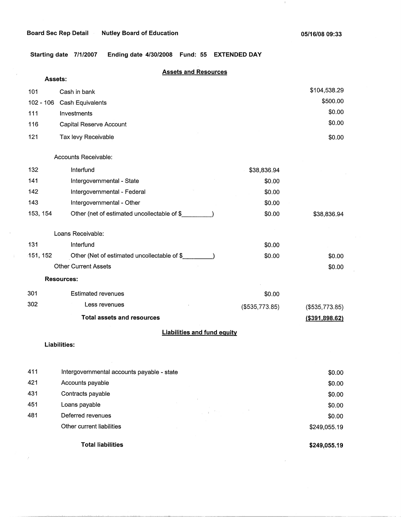$\pm$ 

**Starting date 7/1/2007 Ending date 4/30/2008 Fund: 55 EXTENDED DAY** 

# **Assets and Resources**

| Assets:                            |                                             |                |                  |  |  |
|------------------------------------|---------------------------------------------|----------------|------------------|--|--|
| 101                                | Cash in bank                                |                | \$104,538.29     |  |  |
| $102 - 106$                        | Cash Equivalents                            |                | \$500.00         |  |  |
| 111                                | Investments                                 |                | \$0.00           |  |  |
| 116                                | Capital Reserve Account                     |                | \$0.00           |  |  |
| 121                                | Tax levy Receivable                         |                | \$0.00           |  |  |
|                                    | Accounts Receivable:                        |                |                  |  |  |
| 132                                | Interfund                                   | \$38,836.94    |                  |  |  |
| 141                                | Intergovernmental - State                   | \$0.00         |                  |  |  |
| 142                                | Intergovernmental - Federal                 | \$0.00         |                  |  |  |
| 143                                | Intergovernmental - Other                   | \$0.00         |                  |  |  |
| 153, 154                           | Other (net of estimated uncollectable of \$ | \$0.00         | \$38,836.94      |  |  |
|                                    | Loans Receivable:                           |                |                  |  |  |
| 131                                | Interfund                                   | \$0.00         |                  |  |  |
| 151, 152                           | Other (Net of estimated uncollectable of \$ | \$0.00         | \$0.00           |  |  |
|                                    | <b>Other Current Assets</b>                 |                | \$0.00           |  |  |
| <b>Resources:</b>                  |                                             |                |                  |  |  |
| 301                                | <b>Estimated revenues</b>                   | \$0.00         |                  |  |  |
| 302                                | Less revenues                               | (\$535,773.85) | (\$535,773.85)   |  |  |
|                                    | <b>Total assets and resources</b>           |                | ( \$391, 898.62) |  |  |
| <b>Liabilities and fund equity</b> |                                             |                |                  |  |  |
|                                    | <b>Liabilities:</b>                         |                |                  |  |  |

|     | <b>Total liabilities</b>                   |                      | \$249,055.19 |
|-----|--------------------------------------------|----------------------|--------------|
|     | Other current liabilities                  |                      | \$249,055.19 |
| 481 | Deferred revenues                          | and the state of the | \$0.00       |
| 451 | Loans payable                              |                      | \$0.00       |
| 431 | Contracts payable                          |                      | \$0.00       |
| 421 | Accounts payable                           |                      | \$0.00       |
| 411 | Intergovernmental accounts payable - state |                      | \$0.00       |